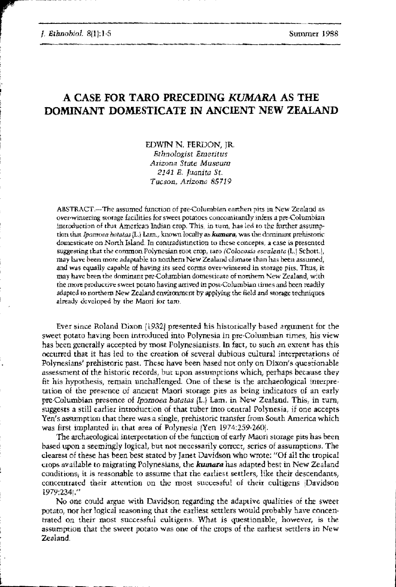J. Ethnobiol. 8(1):1-5

## A CASE FOR TARO PRECEDING KUMARA AS THE DOMINANT DOMESTICATE IN ANCIENT NEW ZEALAND

EDWIN N. FERDON, JR. Ethnologist Emeritus Arizona State Museum 2141 E. Juanita St. Tucson, Arizona 85719

ABSTRACT.—The assumed function of pre-Columbian earthen pits in New Zealand as over-wintering storage facilities for sweet potatoes concomitantly infers a pre-Columbian introduction of that American Indian crop. This, in turn, has led to the further assumption that Ipomosa batatas (L.) Lam., known locally as kumara, was the dominant prehistoric domesticate on North Island. In contradistinction to these concepts, a case is presented suggesting that the common Polynesian root crop, taro (Colocasia esculenta (L.) Schott.), may have been more adaptable to northern New Zealand climate than has been assumed, and was equally capable of having its seed corms over-wintered in storage pits. Thus, it may have been the dominant pre-Columbian domesticate of northern New Zealand, with the more productive sweet potato having arrived in post-Columbian times and been readily adapted to northern New Zealand environment by applying the field and storage techniques already developed by the Maori for tam.

Ever since Roland Dixon (1932) presented his historically based argument for the sweet potato having been introduced into Polynesia in pre-Columbian times, his view has been generally accepted by most Polynesianists. In fact, to such an extent has this occurred that it has led to the creation of several dubious cultural interpretations of Polynesians' prehistoric past. These have been based not only on Dixon's questionable assessment of the historic records, but upon assumptions which, perhaps because they fit his hypothesis, remain unchallenged. One of these is the archaeological interpretation of the presence of ancient Maori storage pits as being indicators of an early pre-Columbian presence of Ipomoea batatas [L.] Lam. in New Zealand. This, in turn, suggests a still earlier introduction of that tuber into central Polynesia, if one accepts Yen's assumption that there was a single, prehistoric transfer from South America which was first implanted in that area of Polynesia (Yen 1974:259-260).

The archaeological interpretation of the function of early Maori storage pits has been based upon a seemingly logical, but not necessarily correct, series of assumptions. The clearest of these has been best stated by Janet Davidson who wrote: "Of all the tropical crops available to migrating Polynesians, the kumara has adapted best in New Zealand conditions, it is reasonable to assume that the earliest settlers. like their descendants, concentrated their attention on the most successful of their cultigens (Davidson 1979:2341."

No one could argue with Davidson regarding the adaptive qualities of the sweet potato, nor her logical reasoning that the earliest settlers would probably have concentrated on their most successful cultigens. What is questionable, however, is the assumption that the sweet potato was one of the crops of the earliest settlers in New Zealand.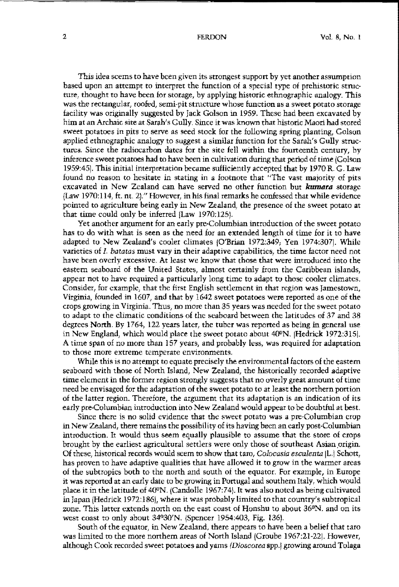This idea scems to have been given its strongest support by yet another assumption based upon an attempt to interpret the function of a special type of prehistoric struc· ture, thought to have been for storage, by applying historic ethnographic analogy. This **was the rectangular<sup>l</sup> roofed, semi-pit structure whose function as a sweet potato storage** facility was originally suggested by Jack Golson in 1959. These had been excavated by him at an Archaic site at Sarah's Gully. Since it was known that historic Maori had stored sweet potatoes in pits to serve as seed stock for the following spring planting, Golson applied ethnographic analogy to suggest a similar function for the Sarah's Gully struc· tures. Since the radiocarbon dates for the site fell within the fourteenth century, by inference sweet potatoes had to have been in cultivation during that period of time (Golson 1959:45]. This initial interpretation became sufficiently accepted that by 1970 R. G. Law **found no reason to hesitate in stating in a footnote that liThe vast majority of pits** excavated in New Zealand can have served no other function but *kumara* storage (Law 1970:114, ft. nt. 21." However, in his final remarks he confessed that while evidence pointed to agriculture being early in New Zealand, the presence of the sweet potato at that time could only be inferred (Law 1970:125].

Yet another argument for an early pre-Columbian introduction of the sweet potato has to do with what is seen as the need for an extended length of time for it to have adapted to New Zealand's cooler climates IO'Brian 1972:349; Yen 1974:3071. While **varieties of 1.** *batatas* **must vary in their adaptive capabilities, the time factor need not** have been overly excessive. At least we know that those that were introduced into the eastern seaboard of the United States, almost certainly from the Caribbean islands, appear not to have required a particularly long time to adapt to those cooler climates. Consider, for example, that the first English settlement in that region was Jamestown, Virginia, founded in  $1607$ , and that by  $1642$  sweet potatoes were reported as one of the crops growing in Virginia. Thus, no more than 35 years was needed for the sweet potato to adapt to the climatic conditions of the seaboard between the latitudes of 37 and 38 degrees North. By 1764, 122 years later, the tuber was reported as heing in general use in New England, which would place the sweet potato about 4O'N. [Hedrick 1972:3151. A time span of no more than 157 years, and probably less, was required for adaptation **to those more extreme temperate environments.**

While this is no attempt to equate precisely the environmental factors of the eastern seaboard with those of North Island, New Zealand, the historically recorded adaptive time element in the former region strongly suggests that no overly great amount of time need be envisaged for the adaptation of the sweet potato to at least the northern portion of the latter region. Therefore, the argument that its adaptation is an indication of its early pre-Columbian introduction into New Zealand would appear to be doubtful at best.

Since there is no solid evidence that the sweet potato was a pre·Columbian crop in New Zealand, there remains the possibility of its having been an early post-Columbian introduction. It would thus seem equally plausible to assume that the store of crops brought by the earliest agricultural settlers were only those of southeast Asian origin. Of these, historical records would seem to show that taro, *Colocasia esculenta* [L.] Schott, has proven to have adaptive qualities that have allowed it to grow in the wanner areas of the subtropics both to the north and south of the equator. For example, in Europe it was reported at an early date to be growing in Portugal and southern Italy, which would place it in the latitude of  $40^{\circ}$ N. (Candolle 1967:74). It was also noted as being cultivated in Japan (Hedrick 1972:1861, where it was probably limited to that country's subtropical zone. This latter extends north on the east coast of Honshu to about 36'N. and on its west coast to only ahout 34°3O'N. {Spencer 1954:403, Fig. 1361.

South of the equator, in New Zealand, there appears to have been a belief that taro was limited to the more northern areas of North Island (Groube 1967:21-22). However, although Cook recorded sweet potatoes and yams *{Dioscorea* spp.1 growing around Tolaga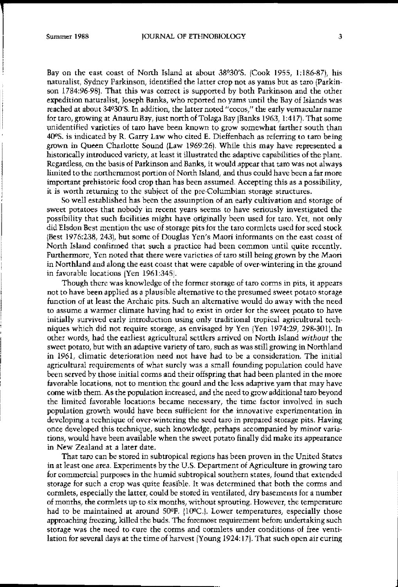$\overline{\phantom{a}}$ 

I i

Bay on the east eoast of North IsJand at about 38°30'S. [Cook 1955, 1:186·87), his naturalist, Sydney Parkinson, identified the latter crop not as yams but as taro (Parkin. son 1784:96-98). That this was eorreet is supported by both Parkinson and the other expedition naturalist, Joseph Banks, who reported no yams until the Bay of Islands was reached at about 34°30'S. In addition, the latter noted "cocos," the early vemacular name for taro, growing at Anaurn Bay. just north of Tolaga Bay IBanks 1963, I:417). That some unidentified varieties of taro have been known to grow somewhat farther south than 4O"S. is indicated by R. Garry Law who cited E. Dieffenbach a8 referring to taro being grown in Queen Charlotte Sound (Law 1969:26). While this may have represented a historically introduced variety, at least it illustrated the adaptive capabilities ofthe plant. Regardless, on the basis of Parkinson and Banks, it would appear that taro was not always limited to the northernmost portion of North Island, and thus could have heen a far more important prehistoric food crop than has been assumed. Accepting this as a possibility, it is worth returning to the subject of the pre·Columbian storage structures.

So well established has been the assumption of an early cultivation and storage of **sweet potatoes that nobody in recent years seems to have seriously investigated the** possibility that such facilities might have original1y been used for taro. Yet, not only did Elsdon Best mention the use of storage pits for the taro cormlets used for seed stock lBest 1976:238,243), but some of Douglas Yen's Maori informants on the east coast of North Island cordirroed that such a practice had been common until quite recently. Furthermore, Yen noted that there were varieties of taro still being grown by the Maori in Northland and along the east coast that were capable of ovcr·wintering in the ground in favorable locations (Yen 1961:345).

Though there was knowledge of the former storage of taro corms in pits, it appears not to have been applied as a plausible alternative to the presumed sweet potato storage function of at least the Archaic pits. Such an alternative would do away with the need to assume a warmer climate having had to exist in order for the sweet potato to have initially survived early introduction using only traditional tropieal agrieultural tech· niques which did not require storage, as envisaged by Yen IYen 1974:29, 298·3011. In other words, had the earliest agricultural settlers arrived on North Island *without* the sweet potato, but with an adaptive variety of taro, such as was still growing in Northland in 1961, climatic deterioration need not have had to be a eonsideration. The initial agricultural requirements of what surely was a small founding population could have been served by those initial corms and their offspring that had been planted in the more favorable locations, not to mention the gourd and the less adaptive yam that may have come witb them. As the population increased, and the need to grow additional taro beyond the **limited favorable locations became necessary, the time factor** involved in **such** population growth would have been sufficient for the innovative experimentation in developing a technique of over·wintering the seed taro in prepared storage pits. Having once developed this technique, such knowledge, perhaps accompanied by minor varia· tions, would have been available when the sweet potato finally did make its appearance in New Zealand at a later date.

That taro can be stored in subtropical regions has been proven in the United States in at least one area. Experiments by the U.S. Department of Agriculture in growing taro for commercial purposes in the humid subtropical southern states, found that extended storage for such a crop was quite feasible. It was determined that both the corms and eormlets, especially the latter, could be stored in ventilated, dry basements for a number of months, the cormlets up to six months, without sprouting. However, the temperature had to be maintained at around  $50^\circ$ F.  $(10^\circ$ C.]. Lower temperatures, especially those approaching freezing, killed the buds. The foremost requirement before undertaking sueh storage was the need to cure the corms and cormlets under conditions of free ventilation for several days at the time of harvest [Young 1924:171. That such open air euring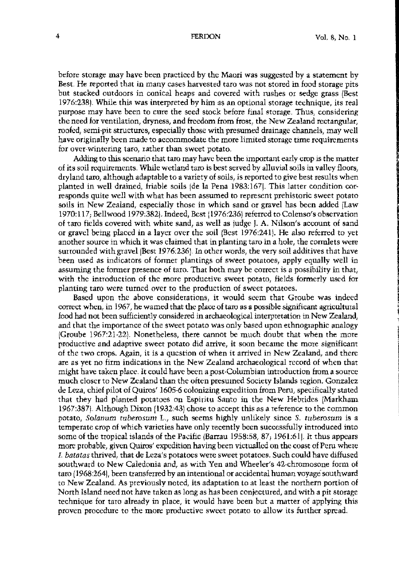before storage may have been practiced by the Maori was suggested by a statement by Best. He reported that in many cases harvested taro was not stored in food storage pits but stacked outdoors in conical heaps and covered with rushes or sedge grass (Best 1976:238), While this was interpreted by him as an optional storage technique, its real purpose may have been to cure the seed stock before final storage, Thus, considering the need for ventilation, dryness, and freedom from frost, the New Zealand rectangular, roofed, semi'pit structures, especially those with presumed drainage channels, may well have originally been made to accommodate the more limited storage time requirements **for over-Wintering taro, rather than sweet potato,**

Adding to this scenario that taro may have been the important early crop is the matter of its soil requitements, While wetland taro is best served by alluvialsoils in valley floors, dryland taro, although adaptable to a variety of soils, is reported to give best results when planted in well drained, friable soils (de la Pena 1983:167). This latter condition corresponds quite well with what has been assumed to represent prehistoric Sweet potato soils in New Zealand, especially those in which sand or gravel has been added (Law 1970:117; Bellwood 1979:3821, Indeed, Best i1976:2361 referred to Colenso's observation of taro fields covered with white sand, as well as judge ), A, Nilson's account of sand or gravel being phced in a layer over the soil (Best 1976:2411. He also referred to yet another source in which it was claimed that in planting taro in a hole, the connlets were surrounded with gravel [Best 1976:236]. In other words, the very soil additives that have been used as iodicators of fonner plantings of sweet potatoes, apply equally well in assuming the fonner presence of taro. That both may be correct is a possibility in that, with the introduction of the more productive sweet potato, fields formerly used for planting taro were turned over to the production of sweet potatoes,

Based upon the above considerations, it would seem that Groube was indeed correct when, 10 1967, he warned that the place of taro as a possible significant agricultural food had not been sufficiently considered in archaeological interpretation in New Zealand, and that the importance of the sweet potato was ouly based upon ethnographic analogy IGroube 1967:21-22), Nonetheless, there cannot be much doubt that when the more **productive and adaptive sweet potato did arrive<sup>J</sup> it soon became the more significant** of the two crops, Agaio, it is a question of when it arrived in New Zealand, and there are as yet no firm indications in the New Zealand archaeological record of when that might have taken place, It could have been a post-Columbian introduction from a source much closer to New Zealand than the often presumed Society Islands region. Gonzalez de Leza, chief pilot of Quiros' 1605-6 colonizing expedition from Peru, specifically stated that they had planted potatoes on Espiritu Santo in the New Hebrides (Markham 1967:3871\_ Although Dixon {1932:43) chose to accept this as a reference to the common potato, Solanum tuberosum L., such seems highly unlikely since S. tuberosum is a temperate crop of which varieties have ouly recently been successfully introduced into some of the tropical islands of the Pacific (Barrau 1958:58,  $87$ , 1961:61). It thus appears more probable, given Quiros' expedition having been victualled on the coast of Peru where l. *baratas* thrived, that de Leza's potatoes were sweet potatoes, Such could have diffused southward to New Caledonia and, as with Yen and Wheeler's 42-chromosone form of taro (1968:264), been transferred by an intentional or accidental human voyage southward **to New Zealand. As previously noted) its adaptation to at least the northern portion of** North Island need not have taken as long as has been conjectured, and with a pit storage technique for taro already in place, it would have been but a matter of applying this proven procedure to the more productive sweet potato to allow its further spread,